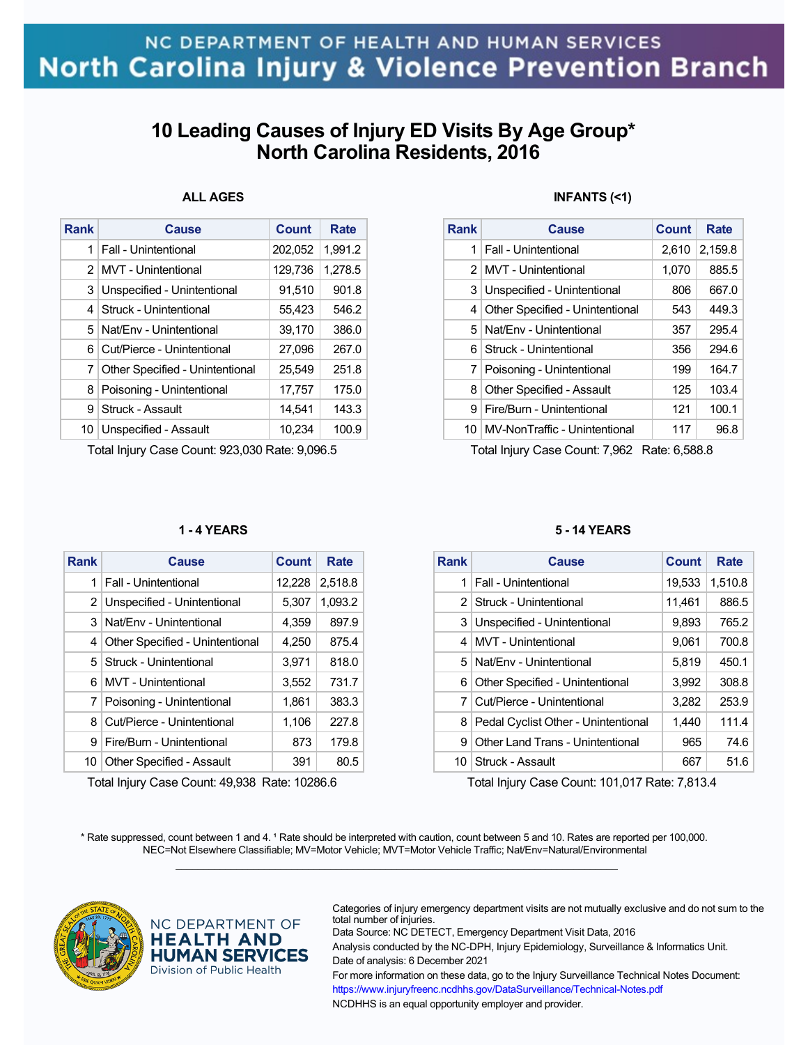# NC DEPARTMENT OF HEALTH AND HUMAN SERVICES North Carolina Injury & Violence Prevention Branch

## **10 Leading Causes of Injury ED Visits By Age Group\* North Carolina Residents, 2016**

### **ALL AGES**

| <b>Rank</b>    | Cause                           | Count   | <b>Rate</b> |
|----------------|---------------------------------|---------|-------------|
| 1              | Fall - Unintentional            | 202,052 | 1.991.2     |
| $\mathcal{P}$  | <b>MVT</b> - Unintentional      | 129,736 | 1,278.5     |
| 3              | Unspecified - Unintentional     | 91,510  | 901.8       |
| $\overline{4}$ | Struck - Unintentional          | 55,423  | 546.2       |
| 5.             | Nat/Env - Unintentional         | 39,170  | 386.0       |
| 6              | Cut/Pierce - Unintentional      | 27,096  | 267.0       |
| 7              | Other Specified - Unintentional | 25,549  | 251.8       |
| 8              | Poisoning - Unintentional       | 17,757  | 175.0       |
| 9              | Struck - Assault                | 14.541  | 143.3       |
| 10             | Unspecified - Assault           | 10,234  | 100.9       |

Total Injury Case Count: 923,030 Rate: 9,096.5

#### **1 - 4 YEARS**

| <b>Rank</b> | Cause                            | Count  | Rate    |
|-------------|----------------------------------|--------|---------|
| 1           | <b>Fall - Unintentional</b>      | 12,228 | 2,518.8 |
|             | 2 Unspecified - Unintentional    | 5,307  | 1,093.2 |
| 3           | Nat/Fny - Unintentional          | 4.359  | 897.9   |
| 4           | Other Specified - Unintentional  | 4,250  | 875.4   |
| 5.          | Struck - Unintentional           | 3,971  | 818.0   |
| 6           | MVT - Unintentional              | 3,552  | 731.7   |
| 7           | Poisoning - Unintentional        | 1,861  | 383.3   |
| 8           | Cut/Pierce - Unintentional       | 1,106  | 227.8   |
| 9           | Fire/Burn - Unintentional        | 873    | 179.8   |
| 10          | <b>Other Specified - Assault</b> | 391    | 80.5    |

Total Injury Case Count: 49,938 Rate: 10286.6

#### **INFANTS (<1)**

| <b>Rank</b> | Cause                            | Count | Rate    |
|-------------|----------------------------------|-------|---------|
| 1           | Fall - Unintentional             | 2,610 | 2,159.8 |
| 2           | MVT - Unintentional              | 1,070 | 885.5   |
| 3           | Unspecified - Unintentional      | 806   | 667.0   |
| 4           | Other Specified - Unintentional  | 543   | 449.3   |
| 5.          | Nat/Env - Unintentional          | 357   | 295.4   |
| 6           | Struck - Unintentional           | 356   | 294.6   |
| 7           | Poisoning - Unintentional        | 199   | 164.7   |
| 8           | <b>Other Specified - Assault</b> | 125   | 103.4   |
| 9           | Fire/Burn - Unintentional        | 121   | 100.1   |
| 10          | MV-NonTraffic - Unintentional    | 117   | 96.8    |

Total Injury Case Count: 7,962 Rate: 6,588.8

#### **5 - 14 YEARS**

| <b>Rank</b> | Cause                               | Count  | Rate    |
|-------------|-------------------------------------|--------|---------|
| 1           | Fall - Unintentional                | 19,533 | 1,510.8 |
| 2           | Struck - Unintentional              | 11,461 | 886.5   |
| 3           | Unspecified - Unintentional         | 9,893  | 765.2   |
| 4           | MVT - Unintentional                 | 9,061  | 700.8   |
| 5.          | Nat/Fny - Unintentional             | 5,819  | 450.1   |
| 6           | Other Specified - Unintentional     | 3,992  | 308.8   |
| 7           | Cut/Pierce - Unintentional          | 3.282  | 253.9   |
| 8           | Pedal Cyclist Other - Unintentional | 1,440  | 111.4   |
| 9           | Other Land Trans - Unintentional    | 965    | 74.6    |
| 10          | Struck - Assault                    | 667    | 51.6    |

Total Injury Case Count: 101,017 Rate: 7,813.4

\* Rate suppressed, count between 1 and 4. <sup>1</sup> Rate should be interpreted with caution, count between 5 and 10. Rates are reported per 100,000. NEC=Not Elsewhere Classifiable; MV=Motor Vehicle; MVT=Motor Vehicle Traffic; Nat/Env=Natural/Environmental  $\mathcal{L}_\mathcal{L} = \{ \mathcal{L}_\mathcal{L} = \{ \mathcal{L}_\mathcal{L} = \{ \mathcal{L}_\mathcal{L} = \{ \mathcal{L}_\mathcal{L} = \{ \mathcal{L}_\mathcal{L} = \{ \mathcal{L}_\mathcal{L} = \{ \mathcal{L}_\mathcal{L} = \{ \mathcal{L}_\mathcal{L} = \{ \mathcal{L}_\mathcal{L} = \{ \mathcal{L}_\mathcal{L} = \{ \mathcal{L}_\mathcal{L} = \{ \mathcal{L}_\mathcal{L} = \{ \mathcal{L}_\mathcal{L} = \{ \mathcal{L}_\mathcal{$ 



NC DEPARTMENT OF **HEALTH AND HUMAN SERVICES** Division of Public Health

Categories of injury emergency department visits are not mutually exclusive and do not sum to the total number of injuries.

Data Source: NC DETECT, Emergency Department Visit Data, 2016 Analysis conducted by the NC-DPH, Injury Epidemiology, Surveillance & Informatics Unit. Date of analysis: 6 December 2021

For more information on these data, go to the Injury Surveillance Technical Notes Document: https://www.injuryfreenc.ncdhhs.gov/DataSurveillance/Technical-Notes.pdf NCDHHS is an equal opportunity employer and provider.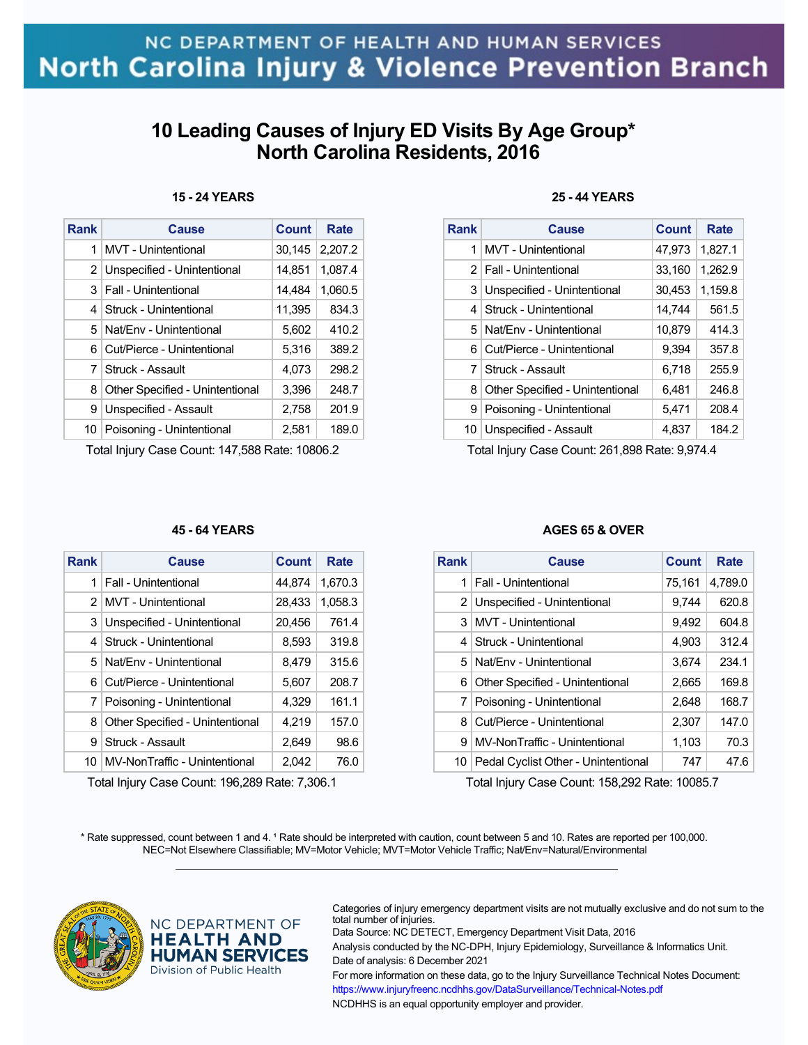# NC DEPARTMENT OF HEALTH AND HUMAN SERVICES **North Carolina Injury & Violence Prevention Branch**

## **10 Leading Causes of Injury ED Visits By Age Group\* North Carolina Residents, 2016**

#### **15 - 24 YEARS**

| <b>Rank</b>    | <b>Cause</b>                    | <b>Count</b> | Rate    |
|----------------|---------------------------------|--------------|---------|
| 1              | MVT - Unintentional             | 30,145       | 2,207.2 |
| 2              | Unspecified - Unintentional     | 14,851       | 1,087.4 |
| 3 <sup>1</sup> | <b>Fall - Unintentional</b>     | 14,484       | 1,060.5 |
| 4              | Struck - Unintentional          | 11,395       | 834.3   |
| 5              | Nat/Env - Unintentional         | 5,602        | 410.2   |
| 6.             | Cut/Pierce - Unintentional      | 5,316        | 389.2   |
| 7              | Struck - Assault                | 4,073        | 298.2   |
| 8              | Other Specified - Unintentional | 3,396        | 248.7   |
| 9              | Unspecified - Assault           | 2,758        | 201.9   |
| 10             | Poisoning - Unintentional       | 2,581        | 189.0   |
|                |                                 |              |         |

Total Injury Case Count: 147,588 Rate: 10806.2

#### **45 - 64 YEARS**

| Rank | Cause                           | Count  | Rate    |
|------|---------------------------------|--------|---------|
| 1    | <b>Fall - Unintentional</b>     | 44,874 | 1,670.3 |
| 2    | MVT - Unintentional             | 28,433 | 1,058.3 |
| 3    | Unspecified - Unintentional     | 20,456 | 761.4   |
| 4    | Struck - Unintentional          | 8,593  | 319.8   |
| 5    | Nat/Env - Unintentional         | 8,479  | 315.6   |
| 6    | Cut/Pierce - Unintentional      | 5,607  | 208.7   |
| 7    | Poisoning - Unintentional       | 4.329  | 161.1   |
| 8    | Other Specified - Unintentional | 4.219  | 157.0   |
| 9    | Struck - Assault                | 2.649  | 98.6    |
| 10   | MV-NonTraffic - Unintentional   | 2,042  | 76.0    |

Total Injury Case Count: 196,289 Rate: 7,306.1

### **25 - 44 YEARS**

| <b>Rank</b> | Cause                           | Count  | Rate    |
|-------------|---------------------------------|--------|---------|
| 1           | MVT - Unintentional             | 47,973 | 1,827.1 |
|             | 2   Fall - Unintentional        | 33,160 | 1,262.9 |
| 3           | Unspecified - Unintentional     | 30,453 | 1.159.8 |
| 4           | Struck - Unintentional          | 14,744 | 561.5   |
| 5.          | Nat/Fny - Unintentional         | 10,879 | 414.3   |
| 6           | Cut/Pierce - Unintentional      | 9.394  | 357.8   |
| 7           | Struck - Assault                | 6,718  | 255.9   |
| 8           | Other Specified - Unintentional | 6,481  | 246.8   |
| 9           | Poisoning - Unintentional       | 5,471  | 208.4   |
| 10          | Unspecified - Assault           | 4,837  | 184.2   |

Total Injury Case Count: 261,898 Rate: 9,974.4

#### **AGES 65 & OVER**

| <b>Rank</b> | Cause                               | <b>Count</b> | Rate    |
|-------------|-------------------------------------|--------------|---------|
| 1           | <b>Fall - Unintentional</b>         | 75,161       | 4,789.0 |
|             | 2 Unspecified - Unintentional       | 9,744        | 620.8   |
| 3           | <b>MVT</b> - Unintentional          | 9,492        | 604.8   |
| 4           | Struck - Unintentional              | 4,903        | 312.4   |
|             | 5 Nat/Env - Unintentional           | 3,674        | 234.1   |
| 6           | Other Specified - Unintentional     | 2,665        | 169.8   |
|             | 7   Poisoning - Unintentional       | 2,648        | 168.7   |
| 8           | Cut/Pierce - Unintentional          | 2,307        | 147.0   |
| 9           | MV-NonTraffic - Unintentional       | 1,103        | 70.3    |
| 10          | Pedal Cyclist Other - Unintentional | 747          | 47.6    |

Total Injury Case Count: 158,292 Rate: 10085.7

\* Rate suppressed, count between 1 and 4. <sup>1</sup> Rate should be interpreted with caution, count between 5 and 10. Rates are reported per 100,000. NEC=Not Elsewhere Classifiable; MV=Motor Vehicle; MVT=Motor Vehicle Traffic; Nat/Env=Natural/Environmental  $\mathcal{L}_\mathcal{L} = \{ \mathcal{L}_\mathcal{L} = \{ \mathcal{L}_\mathcal{L} = \{ \mathcal{L}_\mathcal{L} = \{ \mathcal{L}_\mathcal{L} = \{ \mathcal{L}_\mathcal{L} = \{ \mathcal{L}_\mathcal{L} = \{ \mathcal{L}_\mathcal{L} = \{ \mathcal{L}_\mathcal{L} = \{ \mathcal{L}_\mathcal{L} = \{ \mathcal{L}_\mathcal{L} = \{ \mathcal{L}_\mathcal{L} = \{ \mathcal{L}_\mathcal{L} = \{ \mathcal{L}_\mathcal{L} = \{ \mathcal{L}_\mathcal{$ 



NC DEPARTMENT OF **HEALTH AND HUMAN SERVICES** Division of Public Health

Categories of injury emergency department visits are not mutually exclusive and do not sum to the total number of injuries.

Data Source: NC DETECT, Emergency Department Visit Data, 2016

Analysis conducted by the NC-DPH, Injury Epidemiology, Surveillance & Informatics Unit. Date of analysis: 6 December 2021

For more information on these data, go to the Injury Surveillance Technical Notes Document: https://www.injuryfreenc.ncdhhs.gov/DataSurveillance/Technical-Notes.pdf NCDHHS is an equal opportunity employer and provider.